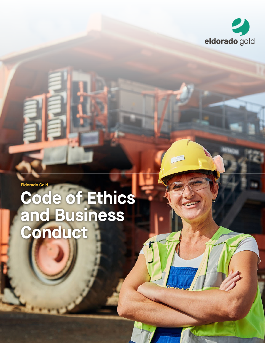

**Eldorado Gold** 

# **Code of Ethics and Business Conduct**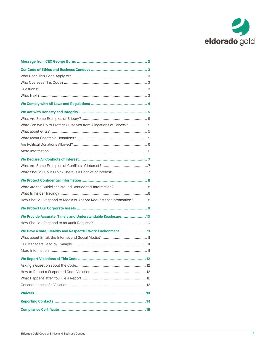

| What Can We Do to Protect Ourselves from Allegations of Bribery?  5 |
|---------------------------------------------------------------------|
|                                                                     |
|                                                                     |
|                                                                     |
|                                                                     |
|                                                                     |
|                                                                     |
|                                                                     |
|                                                                     |
|                                                                     |
|                                                                     |
| How Should I Respond to Media or Analyst Requests for Information?8 |
|                                                                     |
| We Provide Accurate, Timely and Understandable Disclosure10         |
|                                                                     |
| We Have a Safe, Healthy and Respectful Work Environment11           |
|                                                                     |
|                                                                     |
|                                                                     |
|                                                                     |
|                                                                     |
|                                                                     |
|                                                                     |
|                                                                     |
|                                                                     |
|                                                                     |
|                                                                     |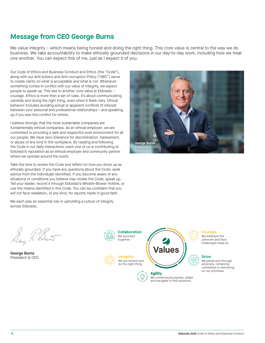## **Message from CEO George Burns**

We value integrity – which means being honest and doing the right thing. This core value is central to the way we do business. We take accountability to make ethically grounded decisions in our day-to-day work, including how we treat one another. You can expect this of me, just as I expect it of you.

Our Code of Ethics and Business Conduct and Ethics (the "Code"), along with our Anti-bribery and Anti-corruption Policy ("ABC") serve to create clarity on what is acceptable and what is not. Whenever something comes in conflict with our value of integrity, we expect people to speak up. This ties to another core value at Eldorado – courage. Ethics is more than a set of rules. It's about communicating candidly and doing the right thing, even when it feels risky. Ethical behavior includes avoiding actual or apparent conflicts of interest between your personal and professional relationships – and speaking up if you see this conflict for others.

I believe strongly that the most sustainable companies are fundamentally ethical companies. As an ethical employer, we are committed to providing a safe and respectful work environment for all our people. We have zero-tolerance for discrimination, harassment, or abuse of any kind in the workplace. By reading and following the Code in our daily interactions, each one of us is contributing to Eldorado's reputation as an ethical employer and community partner where we operate around the world.

Take the time to review the Code and reflect on how you show up as ethically grounded. If you have any questions about the Code, seek advice from the individuals identified. If you become aware of any situations or conditions you believe may violate the Code, speak up. Tell your leader, record it through Eldorado's Whistle-Blower Hotline, or use the means identified in this Code. You can be confident that you will not face retaliation, of any kind, for reports made in good faith.

We each play an essential role in upholding a culture of integrity across Eldorado.





**George Burns** President & CEO



**Integrity** We are honest and do the right thing.



**Courage** We embrace the unknown and face challenges head on.

## **Drive**

We persevere through adversity, remaining committed to delivering on our promises.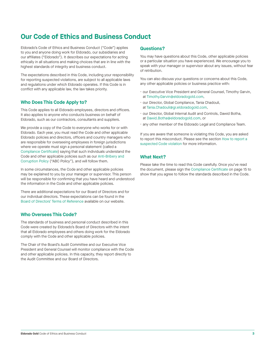## **Our Code of Ethics and Business Conduct**

Eldorado's Code of Ethics and Business Conduct ("Code") applies to you and anyone doing work for Eldorado, our subsidiaries and our affiliates ("Eldorado"). It describes our expectations for acting ethically in all situations and making choices that are in line with the highest standards of integrity and business conduct.

The expectations described in this Code, including your responsibility for reporting suspected violations, are subject to all applicable laws and regulations under which Eldorado operates. If this Code is in conflict with any applicable law, the law takes priority.

## **Who Does This Code Apply to?**

This Code applies to all Eldorado employees, directors and officers. It also applies to anyone who conducts business on behalf of Eldorado, such as our contractors, consultants and suppliers.

We provide a copy of the Code to everyone who works for or with Eldorado. Each year, you must read the Code and other applicable Eldorado policies and directors, officers and country managers who are responsible for overseeing employees in foreign jurisdictions where we operate must sign a personal statement (called a [Compliance Certificate\)](#page-16-0) saying that such individuals understand the [Code and other applicable policies such as our Anti-Bribery and](https://www.eldoradogold.com/files/doc_downloads/2020/10/13/ABC-Policy_ENG.pdf)  Corruption Policy ("ABC Policy"), and will follow them.

In some circumstances, the Code and other applicable policies may be explained to you by your manager or supervisor. This person will be responsible for confirming that you have heard and understood the information in the Code and other applicable policies.

There are additional expectations for our Board of Directors and for our individual directors. These expectations can be found in the [Board of Directors' Terms of Reference](https://www.eldoradogold.com/files/doc_downloads/2020/10/13/Board-of-Directors-ToR-Feb-2020.pdf) available on our website.

## **Who Oversees This Code?**

The standards of business and personal conduct described in this Code were created by Eldorado's Board of Directors with the intent that all Eldorado employees and others doing work for the Eldorado comply with the Code and other applicable policies.

The Chair of the Board's Audit Committee and our Executive Vice President and General Counsel will monitor compliance with the Code and other applicable policies. In this capacity, they report directly to the Audit Committee and our Board of Directors.

### **Questions?**

You may have questions about this Code, other applicable policies or a particular situation you have experienced. We encourage you to speak with your manager or supervisor about any issues, without fear of retribution.

You can also discuss your questions or concerns about this Code, any other applicable policies or business practice with:

- our Executive Vice President and General Counsel, Timothy Garvin, at Timothy.Garvin@eldoradogold.com,
- our Director, Global Compliance, Tania Chadouli, at Tania.Chadouli@gr.eldoradogold.com,
- our Director, Global Internal Audit and Controls, Dawid Botha, at Dawid.Botha@eldoradogold.com, or
- any other member of the Eldorado Legal and Compliance Team.

If you are aware that someone is violating this Code, you are asked [to report this misconduct. Please see the section How to report a](#page-13-0) suspected Code violation for more information.

## **What Next?**

Please take the time to read this Code carefully. Once you've read the document, please sign the [Compliance Certificate](#page-16-0) on page 15 to show that you agree to follow the standards described in the Code.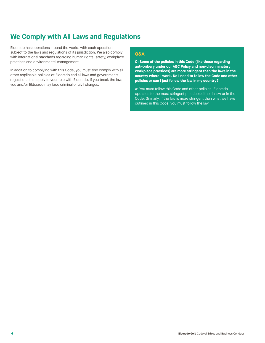## **We Comply with All Laws and Regulations**

Eldorado has operations around the world, with each operation subject to the laws and regulations of its jurisdiction. We also comply with international standards regarding human rights, safety, workplace practices and environmental management.

In addition to complying with this Code, you must also comply with all other applicable policies of Eldorado and all laws and governmental regulations that apply to your role with Eldorado. If you break the law, you and/or Eldorado may face criminal or civil charges.

## **Q&A**

**Q: Some of the policies in this Code (like those regarding anti-bribery under our ABC Policy and non-discriminatory workplace practices) are more stringent than the laws in the country where I work. Do I need to follow the Code and other policies or can I just follow the law in my country?** 

A: You must follow this Code and other policies. Eldorado operates to the most stringent practices either in law or in the Code. Similarly, if the law is more stringent than what we have outlined in this Code, you must follow the law.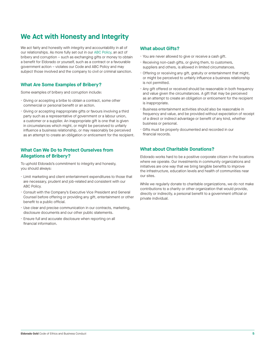## **We Act with Honesty and Integrity**

We act fairly and honestly with integrity and accountability in all of our relationships. As more fully set out in our [ABC Policy,](https://www.eldoradogold.com/files/doc_downloads/2020/10/13/ABC-Policy_ENG.pdf) an act of bribery and corruption – such as exchanging gifts or money to obtain a benefit for Eldorado or yourself, such as a contract or a favourable government action – violates our Code and ABC Policy and may subject those involved and the company to civil or criminal sanction.

## **What Are Some Examples of Bribery?**

Some examples of bribery and corruption include:

- Giving or accepting a bribe to obtain a contract, some other commercial or personal benefit or an action.
- Giving or accepting inappropriate gifts or favours involving a third party such as a representative of government or a labour union, a customer or a supplier. An inappropriate gift is one that is given in circumstances which might, or might be perceived to unfairly influence a business relationship, or may reasonably be perceived as an attempt to create an obligation or enticement for the recipient.

## **What Can We Do to Protect Ourselves from Allegations of Bribery?**

To uphold Eldorado's commitment to integrity and honesty, you should always:

- Limit marketing and client entertainment expenditures to those that are necessary, prudent and job-related and consistent with our ABC Policy.
- Consult with the Company's Executive Vice President and General Counsel before offering or providing any gift, entertainment or other benefit to a public official.
- Use clear and precise communication in our contracts, marketing, disclosure documents and our other public statements.
- Ensure full and accurate disclosure when reporting on all financial information.

## **What about Gifts?**

- You are never allowed to give or receive a cash gift.
- Receiving non-cash gifts, or giving them, to customers, suppliers and others, is allowed in limited circumstances.
- Offering or receiving any gift, gratuity or entertainment that might, or might be perceived to unfairly influence a business relationship is not permitted.
- Any gift offered or received should be reasonable in both frequency and value given the circumstances. A gift that may be perceived as an attempt to create an obligation or enticement for the recipient is inappropriate.
- Business entertainment activities should also be reasonable in frequency and value, and be provided without expectation of receipt of a direct or indirect advantage or benefit of any kind, whether business or personal.
- Gifts must be properly documented and recorded in our financial records.

## **What about Charitable Donations?**

Eldorado works hard to be a positive corporate citizen in the locations where we operate. Our investments in community organizations and initiatives are one way that we bring tangible benefits to improve the infrastructure, education levels and health of communities near our sites.

While we regularly donate to charitable organizations, we do not make contributions to a charity or other organization that would provide, directly or indirectly, a personal benefit to a government official or private individual.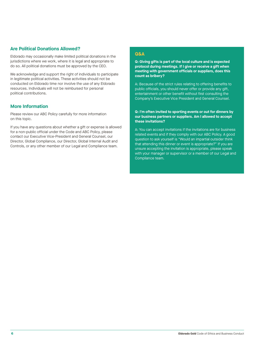## **Are Political Donations Allowed?**

Eldorado may occasionally make limited political donations in the jurisdictions where we work, where it is legal and appropriate to do so. All political donations must be approved by the CEO.

We acknowledge and support the right of individuals to participate in legitimate political activities. These activities should not be conducted on Eldorado time nor involve the use of any Eldorado resources. Individuals will not be reimbursed for personal political contributions.

## **More Information**

Please review our ABC Policy carefully for more information on this topic.

If you have any questions about whether a gift or expense is allowed for a non-public official under the Code and ABC Policy, please contact our Executive Vice-President and General Counsel, our Director, Global Compliance, our Director, Global Internal Audit and Controls, or any other member of our Legal and Compliance team.

## **Q&A**

**Q: Giving gifts is part of the local culture and is expected protocol during meetings. If I give or receive a gift when meeting with government officials or suppliers, does this count as bribery?**

A: Because of the strict rules relating to offering benefits to public officials, you should never offer or provide any gift, entertainment or other benefit without first consulting the Company's Executive Vice President and General Counsel.

### **Q: I'm often invited to sporting events or out for dinners by our business partners or suppliers. Am I allowed to accept these invitations?**

A: You can accept invitations if the invitations are for business related events and if they comply with our ABC Policy. A good question to ask yourself is "Would an impartial outsider think that attending this dinner or event is appropriate?" If you are unsure accepting the invitation is appropriate, please speak with your manager or supervisor or a member of our Legal and Compliance team.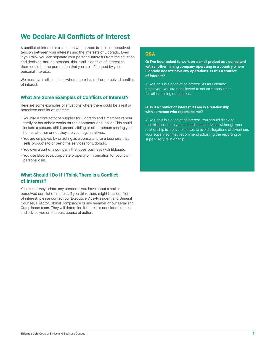## **We Declare All Conflicts of Interest**

A conflict of interest is a situation where there is a real or perceived tension between your interests and the interests of Eldorado. Even if you think you can separate your personal interests from the situation and decision-making process, this is still a conflict of interest as there could be the perception that you are influenced by your personal interests.

We must avoid all situations where there is a real or perceived conflict of interest.

### **What Are Some Examples of Conflicts of Interest?**

Here are some examples of situations where there could be a real or perceived conflict of interest:

- You hire a contractor or supplier for Eldorado and a member of your family or household works for the contractor or supplier. This could include a spouse, child, parent, sibling or other person sharing your home, whether or not they are your legal relatives.
- You are employed by or acting as a consultant for a business that sells products to or performs services for Eldorado.
- You own a part of a company that does business with Eldorado.
- You use Eldorado's corporate property or information for your own personal gain.

## **What Should I Do If I Think There Is a Conflict of Interest?**

You must always share any concerns you have about a real or perceived conflict of interest. If you think there might be a conflict of interest, please contact our Executive Vice-President and General Counsel, Director, Global Compliance or any member of our Legal and Compliance team. They will determine if there is a conflict of interest and advise you on the best course of action.

### **Q&A**

**Q: I've been asked to work on a small project as a consultant with another mining company operating in a country where Eldorado doesn't have any operations. Is this a conflict of interest?**

A: Yes, this is a conflict of interest. As an Eldorado employee, you are not allowed to act as a consultant for other mining companies.

### **Q: Is it a conflict of interest if I am in a relationship with someone who reports to me?**

A: Yes, this is a conflict of interest. You should disclose the relationship to your immediate supervisor Although your relationship is a private matter, to avoid allegations of favoritism, your supervisor may recommend adjusting the reporting or supervisory relationship.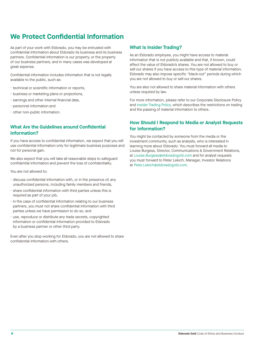## **We Protect Confidential Information**

As part of your work with Eldorado, you may be entrusted with confidential information about Eldorado its business and its business partners. Confidential information is our property, or the property of our business partners, and in many cases was developed at great expense.

Confidential information includes information that is not legally available to the public, such as:

- technical or scientific information or reports,
- business or marketing plans or projections,
- earnings and other internal financial data,
- personnel information and
- other non-public information.

## **What Are the Guidelines around Confidential Information?**

If you have access to confidential information, we expect that you will use confidential information only for legitimate business purposes and not for personal gain.

We also expect that you will take all reasonable steps to safeguard confidential information and prevent the loss of confidentiality.

You are not allowed to:

- discuss confidential information with, or in the presence of, any unauthorized persons, including family members and friends,
- share confidential information with third parties unless this is required as part of your job,
- in the case of confidential information relating to our business partners, you must not share confidential information with third parties unless we have permission to do so, and
- use, reproduce or distribute any trade secrets, copyrighted information or confidential information provided to Eldorado by a business partner or other third party.

Even after you stop working for Eldorado, you are not allowed to share confidential information with others.

## **What Is Insider Trading?**

As an Eldorado employee, you might have access to material information that is not publicly available and that, if known, could affect the value of Eldorado's shares. You are not allowed to buy or sell our shares if you have access to this type of material information. Eldorado may also impose specific "black-out" periods during which you are not allowed to buy or sell our shares.

You are also not allowed to share material information with others unless required by law.

For more information, please refer to our Corporate Disclosure Policy and Insider Trading Policy, which describes the restrictions on trading and the passing of material information to others.

## **How Should I Respond to Media or Analyst Requests for Information?**

You might be contacted by someone from the media or the investment community, such as analysts, who is interested in learning more about Eldorado. You must forward all media to Louise Burgess, Director, Communications & Government Relations, at Louise.Burgess@eldoradogold.com and for analyst requests you must forward to Peter Lekich, Manager, Investor Relations at Peter.Lekich@eldoradogold.com.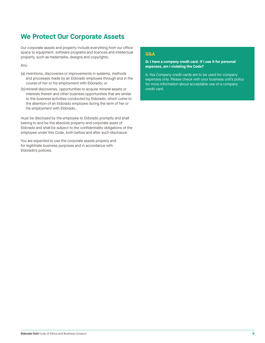## **We Protect Our Corporate Assets**

Our corporate assets and property include everything from our office space to equipment, software programs and licences and intellectual property, such as trademarks, designs and copyrights.

Any:

- (a) inventions, discoveries or improvements in systems, methods and processes made by an Eldorado employee through and in the course of her or his employment with Eldorado; or
- (b)mineral discoveries, opportunities to acquire mineral assets or interests therein and other business opportunities that are similar to the business activities conducted by Eldorado, which come to the attention of an Eldorado employee during the term of her or his employment with Eldorado,

must be disclosed by the employee to Eldorado promptly and shall belong to and be the absolute property and corporate asset of Eldorado and shall be subject to the confidentiality obligations of the employee under this Code, both before and after such disclosure

You are expected to use the corporate assets properly and for legitimate business purposes and in accordance with Eldorado's policies.

## **Q&A**

**Q: I have a company credit card. If I use it for personal expenses, am I violating the Code?** 

A: Yes Company credit cards are to be used for company expenses only. Please check with your business unit's policy for more information about acceptable use of a company credit card.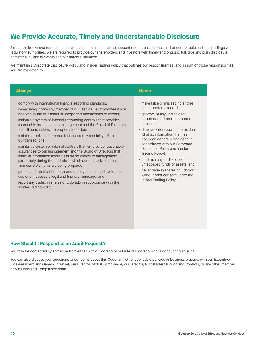## **We Provide Accurate, Timely and Understandable Disclosure**

Eldorado's books and records must be an accurate and complete account of our transactions. In all of our periodic and annual filings with regulatory authorities, we are required to provide our shareholders and investors with timely and ongoing full, true and plain disclosure of material business events and our financial situation.

We maintain a Corporate Disclosure Policy and Insider Trading Policy that outlines our responsibilities, and as part of those responsibilities. you are expected to:

#### • comply with international financial reporting standards; • immediately notify any member of our Disclosure Committee if you become aware of a material unreported transactions or events; • maintain a system of internal accounting controls that provides reasonable assurances to management and the Board of Directors that all transactions are properly recorded; • maintain books and records that accurately and fairly reflect our transactions; • maintain a system of internal controls that will provide reasonable assurances to our management and the Board of Directors that material information about us is made known to management, particularly during the periods in which our quarterly or annual financial statements are being prepared; • present information in a clear and orderly manner and avoid the use of unnecessary legal and financial language; and • report any trades in shares of Eldorado in accordance with the Insider Trading Policy. • make false or misleading entries in our books or records; • approve of any undisclosed or unrecorded bank accounts or assets; • share any non-public information (that is, information that has not been generally disclosed in accordance with our Corporate Disclosure Policy and Insider Trading Policy); • establish any undisclosed or unrecorded funds or assets; and • never trade in shares of Eldorado without prior consent under the Insider Trading Policy. **Always Never**

### **How Should I Respond to an Audit Request?**

You may be contacted by someone from either within Eldorado or outside of Eldorado who is conducting an audit.

You can also discuss your questions or concerns about this Code, any other applicable policies or business practice with our Executive Vice-President and General Counsel, our Director, Global Compliance, our Director, Global Internal Audit and Controls, or any other member of our Legal and Compliance team.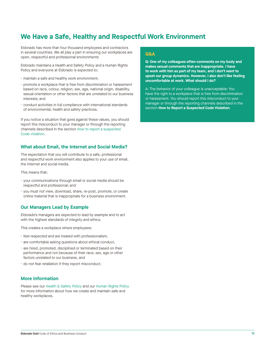## **We Have a Safe, Healthy and Respectful Work Environment**

Eldorado has more than four thousand employees and contractors in several countries. We all play a part in ensuring our workplaces are open, respectful and professional environments

Eldorado maintains a Health and Safety Policy and a Human Rights Policy and everyone at Eldorado is expected to:

- maintain a safe and healthy work environment;
- promote a workplace that is free from discrimination or harassment based on race, colour, religion, sex, age, national origin, disability, sexual orientation or other factors that are unrelated to our business interests; and
- conduct activities in full compliance with international standards of environmental, health and safety practices.

If you notice a situation that goes against these values, you should report this misconduct to your manager or through the reporting [channels described in the section How to report a suspected](#page-13-0)  Code violation.

### **What about Email, the Internet and Social Media?**

The expectation that you will contribute to a safe, professional and respectful work environment also applies to your use of email, the Internet and social media.

This means that:

- your communications through email or social media should be respectful and professional; and
- you must not view, download, share, re-post, promote, or create online material that is inappropriate for a business environment.

### **Our Managers Lead by Example**

Eldorado's managers are expected to lead by example and to act with the highest standards of integrity and ethics.

This creates a workplace where employees:

- feel respected and are treated with professionalism,
- are comfortable asking questions about ethical conduct,
- are hired, promoted, disciplined or terminated based on their performance and not because of their race, sex, age or other factors unrelated to our business, and
- do not fear retaliation if they report misconduct.

## **More Information**

Please see our [Health & Safety Policy](https://s2.q4cdn.com/536453762/files/doc_downloads/Governance/2017/0218_Policy_H-and-S_ENG.pdf) and our [Human Rights Policy](https://s2.q4cdn.com/536453762/files/doc_downloads/Governance/2017/0218_Policy_HR_ENG.pdf) for more information about how we create and maintain safe and healthy workplaces.

### **Q&A**

**Q: One of my colleagues often comments on my body and makes sexual comments that are inappropriate. I have to work with him as part of my team, and I don't want to upset our group dynamics. However, I also don't like feeling uncomfortable at work. What should I do?** 

A: The behavior of your colleague is unacceptable: You have the right to a workplace that is free from discrimination or harassment. You should report this misconduct to your manager or through the reporting channels described in the section **[How to Report a Suspected Code Violation](#page-13-0)**.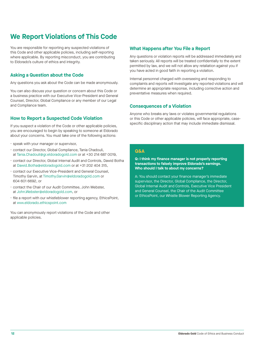## <span id="page-13-0"></span>**We Report Violations of This Code**

You are responsible for reporting any suspected violations of this Code and other applicable policies, including self-reporting where applicable. By reporting misconduct, you are contributing to Eldorado's culture of ethics and integrity.

## **Asking a Question about the Code**

Any questions you ask about the Code can be made anonymously.

You can also discuss your question or concern about this Code or a business practice with our Executive Vice-President and General Counsel, Director, Global Compliance or any member of our Legal and Compliance team.

## **How to Report a Suspected Code Violation**

If you suspect a violation of the Code or other applicable policies, you are encouraged to begin by speaking to someone at Eldorado about your concerns. You must take one of the following actions:

- speak with your manager or supervisor,
- contact our Director, Global Compliance, Tania Chadouli, at Tania.Chadouli@gr.eldoradogold.com or at +30 214 687 0019,
- contact our Director, Global Internal Audit and Controls, Dawid Botha at Dawid.Botha@eldoradogold.com or at +31 202 404 315,
- contact our Executive Vice-President and General Counsel, Timothy Garvin, at Timothy.Garvin@eldoradogold.com or 604 601 6692, or
- contact the Chair of our Audit Committee, John Webster, at John.Webster@eldoradogold.com, or
- file a report with our whistleblower reporting agency, EthicsPoint, at www.eldorado.ethicspoint.com

You can anonymously report violations of the Code and other applicable policies.

## **What Happens after You File a Report**

Any questions or violation reports will be addressed immediately and taken seriously. All reports will be treated confidentially to the extent permitted by law, and we will not allow any retaliation against you if you have acted in good faith in reporting a violation.

Internal personnel charged with overseeing and responding to complaints and reports will investigate any reported violations and will determine an appropriate response, including corrective action and preventative measures when required.

## **Consequences of a Violation**

Anyone who breaks any laws or violates governmental regulations or this Code or other applicable policies, will face appropriate, casespecific disciplinary action that may include immediate dismissal.

## **Q&A**

**Q: I think my finance manager is not properly reporting transactions to falsely improve Eldorado's earnings. Who should I talk to about my concerns?**

A: You should contact your finance manager's immediate supervisor, the Director, Global Compliance, the Director, Global Internal Audit and Controls, Executive Vice President and General Counsel, the Chair of the Audit Committee or EthicsPoint, our Whistle Blower Reporting Agency.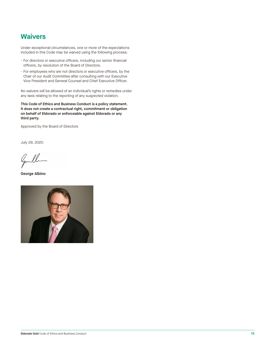## **Waivers**

Under exceptional circumstances, one or more of the expectations included in this Code may be waived using the following process:

- For directors or executive officers, including our senior financial officers, by resolution of the Board of Directors.
- For employees who are not directors or executive officers, by the Chair of our Audit Committee after consulting with our Executive Vice President and General Counsel and Chief Executive Officer.

No waivers will be allowed of an individual's rights or remedies under any laws relating to the reporting of any suspected violation.

**This Code of Ethics and Business Conduct is a policy statement. It does not create a contractual right, commitment or obligation on behalf of Eldorado or enforceable against Eldorado or any third party.**

Approved by the Board of Directors

July 29, 2020

Gentlem

**George Albino**

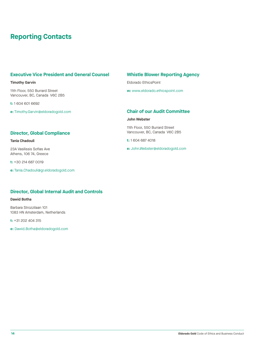## **Reporting Contacts**

## **Executive Vice President and General Counsel**

### **Timothy Garvin**

11th Floor, 550 Burrard Street Vancouver, BC, Canada V6C 2B5

**t:** 1 604 601 6692

**e:** Timothy.Garvin@eldoradogold.com

## **Director, Global Compliance**

**Tania Chadouli** 

23A Vasilissis Sofias Ave Athens, 106 74, Greece

**t:** +30 214 687 0019

**e:** Tania.Chadouli@gr.eldoradogold.com

## **Whistle Blower Reporting Agency**

Eldorado EthicsPoint

**w:** www.eldorado.ethicspoint.com

## **Chair of our Audit Committee**

**John Webster**

11th Floor, 550 Burrard Street Vancouver, BC, Canada V6C 2B5

**t:** 1 604 687 4018

**e:** John.Webster@eldoradogold.com

## **Director, Global Internal Audit and Controls**

### **Dawid Botha**

Barbara Strozzilaan 101 1083 HN Amsterdam, Netherlands

**t:** +31 202 404 315

**e:** Dawid.Botha@eldoradogold.com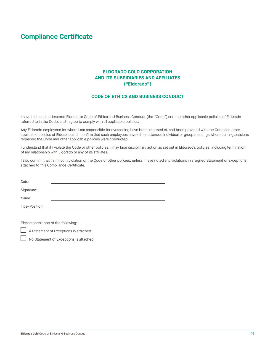## <span id="page-16-0"></span>**Compliance Certificate**

## **ELDORADO GOLD CORPORATION AND ITS SUBSIDIARIES AND AFFILIATES ("Eldorado")**

## **CODE OF ETHICS AND BUSINESS CONDUCT**

I have read and understood Eldorado's Code of Ethics and Business Conduct (the "Code") and the other applicable policies of Eldorado referred to in the Code, and I agree to comply with all applicable policies.

Any Eldorado employees for whom I am responsible for overseeing have been informed of, and been provided with the Code and other applicable policies of Eldorado and I confirm that such employees have either attended individual or group meetings where training sessions regarding the Code and other applicable policies were conducted.

I understand that if I violate the Code or other policies, I may face disciplinary action as set out in Eldorado's policies, including termination of my relationship with Eldorado or any of its affiliates.

I also confirm that I am not in violation of the Code or other policies, unless I have noted any violations in a signed Statement of Exceptions attached to this Compliance Certificate.

| Date:           |  |
|-----------------|--|
|                 |  |
| Signature:      |  |
|                 |  |
| Name:           |  |
| Title/Position: |  |

Please check one of the following:

A Statement of Exceptions is attached.

No Statement of Exceptions is attached.